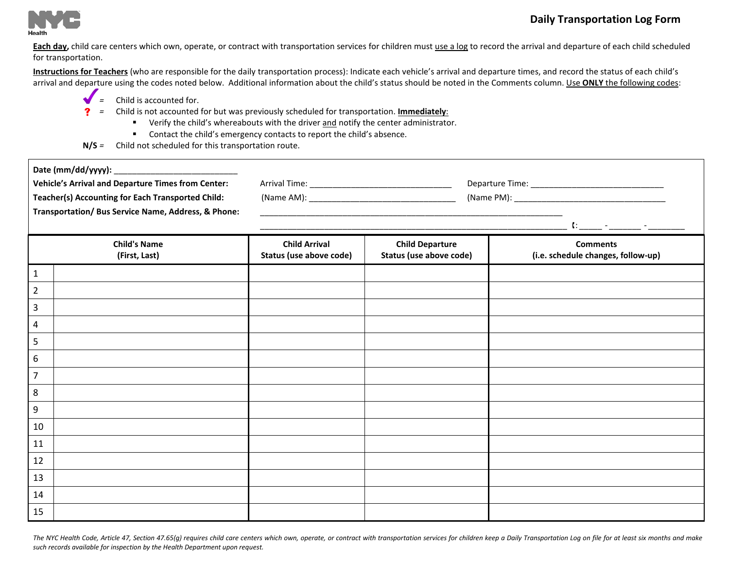

Each day, child care centers which own, operate, or contract with transportation services for children must use a log to record the arrival and departure of each child scheduled for transportation.

Instructions for Teachers (who are responsible for the daily transportation process): Indicate each vehicle's arrival and departure times, and record the status of each child's arrival and departure using the codes noted below. Additional information about the child's status should be noted in the Comments column. Use ONLY the following codes:

- *=* Child is accounted for.
- *=* Child is not accounted for but was previously scheduled for transportation. **Immediately**:
	- **•** Verify the child's whereabouts with the driver and notify the center administrator.
	- Contact the child's emergency contacts to report the child's absence.
- **N/S** *=* Child not scheduled for this transportation route.

| <b>Vehicle's Arrival and Departure Times from Center:</b><br><b>Teacher(s) Accounting for Each Transported Child:</b><br>Transportation/ Bus Service Name, Address, & Phone: |                                                 |                                                   |                                                       |
|------------------------------------------------------------------------------------------------------------------------------------------------------------------------------|-------------------------------------------------|---------------------------------------------------|-------------------------------------------------------|
| <b>Child's Name</b><br>(First, Last)                                                                                                                                         | <b>Child Arrival</b><br>Status (use above code) | <b>Child Departure</b><br>Status (use above code) | <b>Comments</b><br>(i.e. schedule changes, follow-up) |
| $\mathbf{1}$                                                                                                                                                                 |                                                 |                                                   |                                                       |
| $\overline{2}$                                                                                                                                                               |                                                 |                                                   |                                                       |
| 3                                                                                                                                                                            |                                                 |                                                   |                                                       |
| $\overline{4}$                                                                                                                                                               |                                                 |                                                   |                                                       |
| 5                                                                                                                                                                            |                                                 |                                                   |                                                       |
| $\boldsymbol{6}$                                                                                                                                                             |                                                 |                                                   |                                                       |
| $\overline{7}$                                                                                                                                                               |                                                 |                                                   |                                                       |
| $\,8\,$                                                                                                                                                                      |                                                 |                                                   |                                                       |
| 9                                                                                                                                                                            |                                                 |                                                   |                                                       |
| 10                                                                                                                                                                           |                                                 |                                                   |                                                       |
| 11                                                                                                                                                                           |                                                 |                                                   |                                                       |
| 12                                                                                                                                                                           |                                                 |                                                   |                                                       |
| 13                                                                                                                                                                           |                                                 |                                                   |                                                       |
| 14                                                                                                                                                                           |                                                 |                                                   |                                                       |
| 15                                                                                                                                                                           |                                                 |                                                   |                                                       |

The NYC Health Code, Article 47, Section 47.65(g) requires child care centers which own, operate, or contract with transportation services for children keep a Daily Transportation Log on file for at least six months and ma *such records available for inspection by the Health Department upon request.*